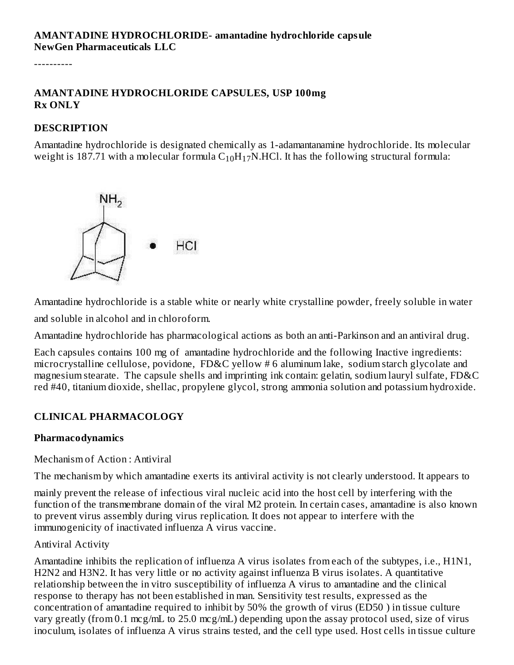----------

#### **AMANTADINE HYDROCHLORIDE CAPSULES, USP 100mg Rx ONLY**

#### **DESCRIPTION**

Amantadine hydrochloride is designated chemically as 1-adamantanamine hydrochloride. Its molecular weight is 187.71 with a molecular formula  $\rm{C_{10}H_{17}N}$ .HCl. It has the following structural formula:



Amantadine hydrochloride is a stable white or nearly white crystalline powder, freely soluble in water

and soluble in alcohol and in chloroform.

Amantadine hydrochloride has pharmacological actions as both an anti-Parkinson and an antiviral drug.

Each capsules contains 100 mg of amantadine hydrochloride and the following Inactive ingredients: microcrystalline cellulose, povidone, FD&C yellow # 6 aluminum lake, sodium starch glycolate and magnesium stearate. The capsule shells and imprinting ink contain: gelatin, sodium lauryl sulfate, FD&C red #40, titanium dioxide, shellac, propylene glycol, strong ammonia solution and potassium hydroxide.

## **CLINICAL PHARMACOLOGY**

#### **Pharmacodynamics**

Mechanism of Action : Antiviral

The mechanism by which amantadine exerts its antiviral activity is not clearly understood. It appears to

mainly prevent the release of infectious viral nucleic acid into the host cell by interfering with the function of the transmembrane domain of the viral M2 protein. In certain cases, amantadine is also known to prevent virus assembly during virus replication. It does not appear to interfere with the immunogenicity of inactivated influenza A virus vaccine.

#### Antiviral Activity

Amantadine inhibits the replication of influenza A virus isolates from each of the subtypes, i.e., H1N1, H2N2 and H3N2. It has very little or no activity against influenza B virus isolates. A quantitative relationship between the in vitro susceptibility of influenza A virus to amantadine and the clinical response to therapy has not been established in man. Sensitivity test results, expressed as the concentration of amantadine required to inhibit by 50% the growth of virus (ED50 ) in tissue culture vary greatly (from 0.1 mcg/mL to 25.0 mcg/mL) depending upon the assay protocol used, size of virus inoculum, isolates of influenza A virus strains tested, and the cell type used. Host cells in tissue culture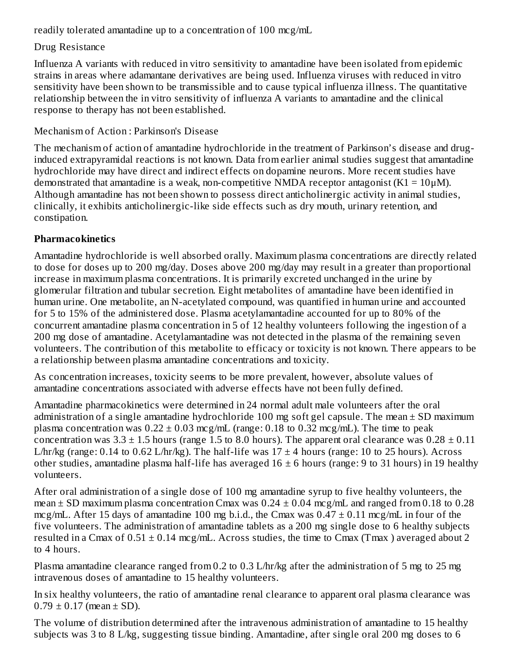readily tolerated amantadine up to a concentration of 100 mcg/mL

## Drug Resistance

Influenza A variants with reduced in vitro sensitivity to amantadine have been isolated from epidemic strains in areas where adamantane derivatives are being used. Influenza viruses with reduced in vitro sensitivity have been shown to be transmissible and to cause typical influenza illness. The quantitative relationship between the in vitro sensitivity of influenza A variants to amantadine and the clinical response to therapy has not been established.

#### Mechanism of Action : Parkinson's Disease

The mechanism of action of amantadine hydrochloride in the treatment of Parkinson's disease and druginduced extrapyramidal reactions is not known. Data from earlier animal studies suggest that amantadine hydrochloride may have direct and indirect effects on dopamine neurons. More recent studies have demonstrated that amantadine is a weak, non-competitive NMDA receptor antagonist  $(K1 = 10 \mu M)$ . Although amantadine has not been shown to possess direct anticholinergic activity in animal studies, clinically, it exhibits anticholinergic-like side effects such as dry mouth, urinary retention, and constipation.

## **Pharmacokinetics**

Amantadine hydrochloride is well absorbed orally. Maximum plasma concentrations are directly related to dose for doses up to 200 mg/day. Doses above 200 mg/day may result in a greater than proportional increase in maximum plasma concentrations. It is primarily excreted unchanged in the urine by glomerular filtration and tubular secretion. Eight metabolites of amantadine have been identified in human urine. One metabolite, an N-acetylated compound, was quantified in human urine and accounted for 5 to 15% of the administered dose. Plasma acetylamantadine accounted for up to 80% of the concurrent amantadine plasma concentration in 5 of 12 healthy volunteers following the ingestion of a 200 mg dose of amantadine. Acetylamantadine was not detected in the plasma of the remaining seven volunteers. The contribution of this metabolite to efficacy or toxicity is not known. There appears to be a relationship between plasma amantadine concentrations and toxicity.

As concentration increases, toxicity seems to be more prevalent, however, absolute values of amantadine concentrations associated with adverse effects have not been fully defined.

Amantadine pharmacokinetics were determined in 24 normal adult male volunteers after the oral administration of a single amantadine hydrochloride 100 mg soft gel capsule. The mean  $\pm$  SD maximum plasma concentration was  $0.22 \pm 0.03$  mcg/mL (range: 0.18 to 0.32 mcg/mL). The time to peak concentration was  $3.3 \pm 1.5$  hours (range 1.5 to 8.0 hours). The apparent oral clearance was  $0.28 \pm 0.11$ L/hr/kg (range: 0.14 to 0.62 L/hr/kg). The half-life was  $17 \pm 4$  hours (range: 10 to 25 hours). Across other studies, amantadine plasma half-life has averaged  $16 \pm 6$  hours (range: 9 to 31 hours) in 19 healthy volunteers.

After oral administration of a single dose of 100 mg amantadine syrup to five healthy volunteers, the mean  $\pm$  SD maximum plasma concentration Cmax was 0.24  $\pm$  0.04 mcg/mL and ranged from 0.18 to 0.28 mcg/mL. After 15 days of amantadine 100 mg b.i.d., the Cmax was  $0.47 \pm 0.11$  mcg/mL in four of the five volunteers. The administration of amantadine tablets as a 200 mg single dose to 6 healthy subjects resulted in a Cmax of  $0.51 \pm 0.14$  mcg/mL. Across studies, the time to Cmax (Tmax) averaged about 2 to 4 hours.

Plasma amantadine clearance ranged from 0.2 to 0.3 L/hr/kg after the administration of 5 mg to 25 mg intravenous doses of amantadine to 15 healthy volunteers.

In six healthy volunteers, the ratio of amantadine renal clearance to apparent oral plasma clearance was  $0.79 \pm 0.17$  (mean  $\pm$  SD).

The volume of distribution determined after the intravenous administration of amantadine to 15 healthy subjects was 3 to 8 L/kg, suggesting tissue binding. Amantadine, after single oral 200 mg doses to 6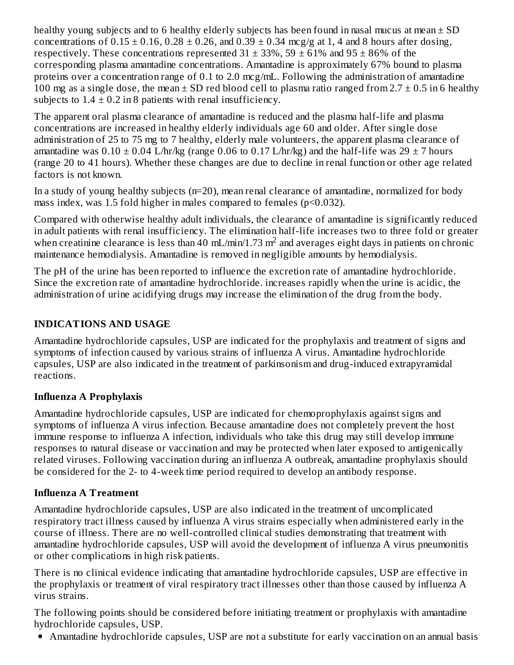healthy young subjects and to 6 healthy elderly subjects has been found in nasal mucus at mean  $\pm$  SD concentrations of  $0.15 \pm 0.16$ ,  $0.28 \pm 0.26$ , and  $0.39 \pm 0.34$  mcg/g at 1, 4 and 8 hours after dosing, respectively. These concentrations represented  $31 \pm 33\%$ ,  $59 \pm 61\%$  and  $95 \pm 86\%$  of the corresponding plasma amantadine concentrations. Amantadine is approximately 67% bound to plasma proteins over a concentration range of 0.1 to 2.0 mcg/mL. Following the administration of amantadine 100 mg as a single dose, the mean  $\pm$  SD red blood cell to plasma ratio ranged from 2.7  $\pm$  0.5 in 6 healthy subjects to  $1.4 \pm 0.2$  in 8 patients with renal insufficiency.

The apparent oral plasma clearance of amantadine is reduced and the plasma half-life and plasma concentrations are increased in healthy elderly individuals age 60 and older. After single dose administration of 25 to 75 mg to 7 healthy, elderly male volunteers, the apparent plasma clearance of amantadine was  $0.10 \pm 0.04$  L/hr/kg (range 0.06 to 0.17 L/hr/kg) and the half-life was  $29 \pm 7$  hours (range 20 to 41 hours). Whether these changes are due to decline in renal function or other age related factors is not known.

In a study of young healthy subjects (n=20), mean renal clearance of amantadine, normalized for body mass index, was 1.5 fold higher in males compared to females (p<0.032).

Compared with otherwise healthy adult individuals, the clearance of amantadine is significantly reduced in adult patients with renal insufficiency. The elimination half-life increases two to three fold or greater when creatinine clearance is less than 40 mL/min/1.73 m<sup>2</sup> and averages eight days in patients on chronic maintenance hemodialysis. Amantadine is removed in negligible amounts by hemodialysis.

The pH of the urine has been reported to influence the excretion rate of amantadine hydrochloride. Since the excretion rate of amantadine hydrochloride. increases rapidly when the urine is acidic, the administration of urine acidifying drugs may increase the elimination of the drug from the body.

## **INDICATIONS AND USAGE**

Amantadine hydrochloride capsules, USP are indicated for the prophylaxis and treatment of signs and symptoms of infection caused by various strains of influenza A virus. Amantadine hydrochloride capsules, USP are also indicated in the treatment of parkinsonism and drug-induced extrapyramidal reactions.

#### **Influenza A Prophylaxis**

Amantadine hydrochloride capsules, USP are indicated for chemoprophylaxis against signs and symptoms of influenza A virus infection. Because amantadine does not completely prevent the host immune response to influenza A infection, individuals who take this drug may still develop immune responses to natural disease or vaccination and may be protected when later exposed to antigenically related viruses. Following vaccination during an influenza A outbreak, amantadine prophylaxis should be considered for the 2- to 4-week time period required to develop an antibody response.

#### **Influenza A Treatment**

Amantadine hydrochloride capsules, USP are also indicated in the treatment of uncomplicated respiratory tract illness caused by influenza A virus strains especially when administered early in the course of illness. There are no well-controlled clinical studies demonstrating that treatment with amantadine hydrochloride capsules, USP will avoid the development of influenza A virus pneumonitis or other complications in high risk patients.

There is no clinical evidence indicating that amantadine hydrochloride capsules, USP are effective in the prophylaxis or treatment of viral respiratory tract illnesses other than those caused by influenza A virus strains.

The following points should be considered before initiating treatment or prophylaxis with amantadine hydrochloride capsules, USP.

Amantadine hydrochloride capsules, USP are not a substitute for early vaccination on an annual basis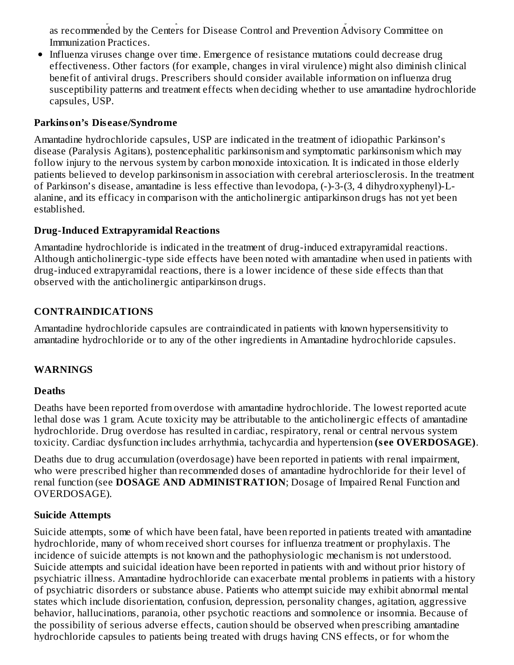Amantadine hydrochloride capsules, USP are not a substitute for early vaccination on an annual basis as recommended by the Centers for Disease Control and Prevention Advisory Committee on Immunization Practices.

• Influenza viruses change over time. Emergence of resistance mutations could decrease drug effectiveness. Other factors (for example, changes in viral virulence) might also diminish clinical benefit of antiviral drugs. Prescribers should consider available information on influenza drug susceptibility patterns and treatment effects when deciding whether to use amantadine hydrochloride capsules, USP.

#### **Parkinson's Dis eas e/Syndrome**

Amantadine hydrochloride capsules, USP are indicated in the treatment of idiopathic Parkinson's disease (Paralysis Agitans), postencephalitic parkinsonism and symptomatic parkinsonism which may follow injury to the nervous system by carbon monoxide intoxication. It is indicated in those elderly patients believed to develop parkinsonism in association with cerebral arteriosclerosis. In the treatment of Parkinson's disease, amantadine is less effective than levodopa, (-)-3-(3, 4 dihydroxyphenyl)-Lalanine, and its efficacy in comparison with the anticholinergic antiparkinson drugs has not yet been established.

## **Drug-Induced Extrapyramidal Reactions**

Amantadine hydrochloride is indicated in the treatment of drug-induced extrapyramidal reactions. Although anticholinergic-type side effects have been noted with amantadine when used in patients with drug-induced extrapyramidal reactions, there is a lower incidence of these side effects than that observed with the anticholinergic antiparkinson drugs.

# **CONTRAINDICATIONS**

Amantadine hydrochloride capsules are contraindicated in patients with known hypersensitivity to amantadine hydrochloride or to any of the other ingredients in Amantadine hydrochloride capsules.

# **WARNINGS**

## **Deaths**

Deaths have been reported from overdose with amantadine hydrochloride. The lowest reported acute lethal dose was 1 gram. Acute toxicity may be attributable to the anticholinergic effects of amantadine hydrochloride. Drug overdose has resulted in cardiac, respiratory, renal or central nervous system toxicity. Cardiac dysfunction includes arrhythmia, tachycardia and hypertension **(s ee OVERDOSAGE)**.

Deaths due to drug accumulation (overdosage) have been reported in patients with renal impairment, who were prescribed higher than recommended doses of amantadine hydrochloride for their level of renal function (see **DOSAGE AND ADMINISTRATION**; Dosage of Impaired Renal Function and OVERDOSAGE).

# **Suicide Attempts**

Suicide attempts, some of which have been fatal, have been reported in patients treated with amantadine hydrochloride, many of whom received short courses for influenza treatment or prophylaxis. The incidence of suicide attempts is not known and the pathophysiologic mechanism is not understood. Suicide attempts and suicidal ideation have been reported in patients with and without prior history of psychiatric illness. Amantadine hydrochloride can exacerbate mental problems in patients with a history of psychiatric disorders or substance abuse. Patients who attempt suicide may exhibit abnormal mental states which include disorientation, confusion, depression, personality changes, agitation, aggressive behavior, hallucinations, paranoia, other psychotic reactions and somnolence or insomnia. Because of the possibility of serious adverse effects, caution should be observed when prescribing amantadine hydrochloride capsules to patients being treated with drugs having CNS effects, or for whom the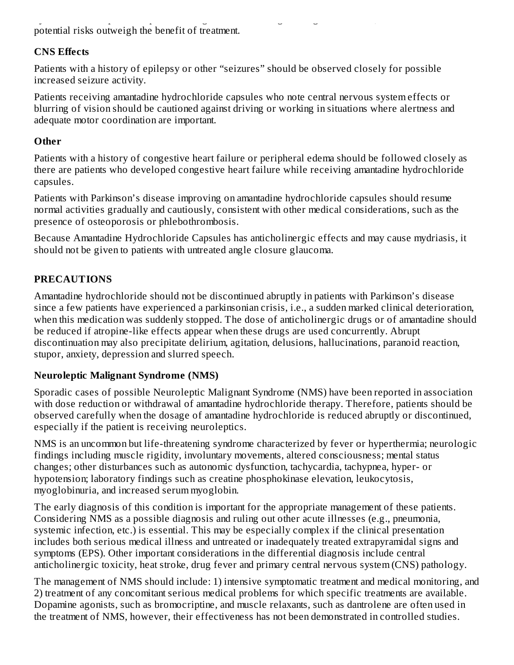hydrochloride capsules to patients being treated with drugs having CNS effects, or for whom the potential risks outweigh the benefit of treatment.

#### **CNS Effects**

Patients with a history of epilepsy or other "seizures" should be observed closely for possible increased seizure activity.

Patients receiving amantadine hydrochloride capsules who note central nervous system effects or blurring of vision should be cautioned against driving or working in situations where alertness and adequate motor coordination are important.

#### **Other**

Patients with a history of congestive heart failure or peripheral edema should be followed closely as there are patients who developed congestive heart failure while receiving amantadine hydrochloride capsules.

Patients with Parkinson's disease improving on amantadine hydrochloride capsules should resume normal activities gradually and cautiously, consistent with other medical considerations, such as the presence of osteoporosis or phlebothrombosis.

Because Amantadine Hydrochloride Capsules has anticholinergic effects and may cause mydriasis, it should not be given to patients with untreated angle closure glaucoma.

## **PRECAUTIONS**

Amantadine hydrochloride should not be discontinued abruptly in patients with Parkinson's disease since a few patients have experienced a parkinsonian crisis, i.e., a sudden marked clinical deterioration, when this medication was suddenly stopped. The dose of anticholinergic drugs or of amantadine should be reduced if atropine-like effects appear when these drugs are used concurrently. Abrupt discontinuation may also precipitate delirium, agitation, delusions, hallucinations, paranoid reaction, stupor, anxiety, depression and slurred speech.

## **Neuroleptic Malignant Syndrome (NMS)**

Sporadic cases of possible Neuroleptic Malignant Syndrome (NMS) have been reported in association with dose reduction or withdrawal of amantadine hydrochloride therapy. Therefore, patients should be observed carefully when the dosage of amantadine hydrochloride is reduced abruptly or discontinued, especially if the patient is receiving neuroleptics.

NMS is an uncommon but life-threatening syndrome characterized by fever or hyperthermia; neurologic findings including muscle rigidity, involuntary movements, altered consciousness; mental status changes; other disturbances such as autonomic dysfunction, tachycardia, tachypnea, hyper- or hypotension; laboratory findings such as creatine phosphokinase elevation, leukocytosis, myoglobinuria, and increased serum myoglobin.

The early diagnosis of this condition is important for the appropriate management of these patients. Considering NMS as a possible diagnosis and ruling out other acute illnesses (e.g., pneumonia, systemic infection, etc.) is essential. This may be especially complex if the clinical presentation includes both serious medical illness and untreated or inadequately treated extrapyramidal signs and symptoms (EPS). Other important considerations in the differential diagnosis include central anticholinergic toxicity, heat stroke, drug fever and primary central nervous system (CNS) pathology.

The management of NMS should include: 1) intensive symptomatic treatment and medical monitoring, and 2) treatment of any concomitant serious medical problems for which specific treatments are available. Dopamine agonists, such as bromocriptine, and muscle relaxants, such as dantrolene are often used in the treatment of NMS, however, their effectiveness has not been demonstrated in controlled studies.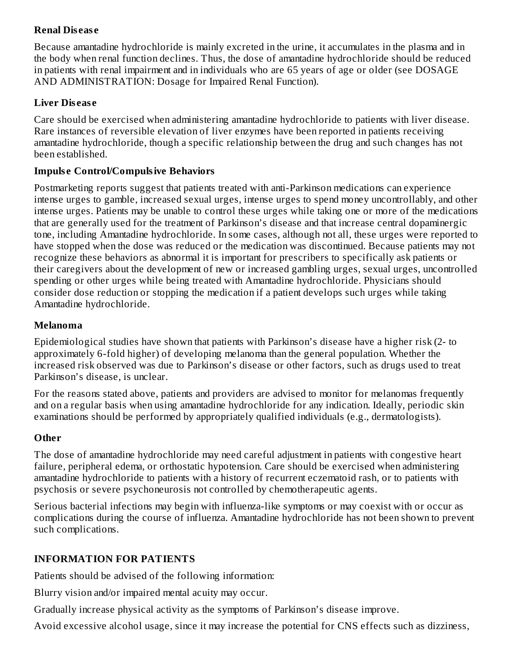## **Renal Dis eas e**

Because amantadine hydrochloride is mainly excreted in the urine, it accumulates in the plasma and in the body when renal function declines. Thus, the dose of amantadine hydrochloride should be reduced in patients with renal impairment and in individuals who are 65 years of age or older (see DOSAGE AND ADMINISTRATION: Dosage for Impaired Renal Function).

#### **Liver Dis eas e**

Care should be exercised when administering amantadine hydrochloride to patients with liver disease. Rare instances of reversible elevation of liver enzymes have been reported in patients receiving amantadine hydrochloride, though a specific relationship between the drug and such changes has not been established.

#### **Impuls e Control/Compulsive Behaviors**

Postmarketing reports suggest that patients treated with anti-Parkinson medications can experience intense urges to gamble, increased sexual urges, intense urges to spend money uncontrollably, and other intense urges. Patients may be unable to control these urges while taking one or more of the medications that are generally used for the treatment of Parkinson's disease and that increase central dopaminergic tone, including Amantadine hydrochloride. In some cases, although not all, these urges were reported to have stopped when the dose was reduced or the medication was discontinued. Because patients may not recognize these behaviors as abnormal it is important for prescribers to specifically ask patients or their caregivers about the development of new or increased gambling urges, sexual urges, uncontrolled spending or other urges while being treated with Amantadine hydrochloride. Physicians should consider dose reduction or stopping the medication if a patient develops such urges while taking Amantadine hydrochloride.

#### **Melanoma**

Epidemiological studies have shown that patients with Parkinson's disease have a higher risk (2- to approximately 6-fold higher) of developing melanoma than the general population. Whether the increased risk observed was due to Parkinson's disease or other factors, such as drugs used to treat Parkinson's disease, is unclear.

For the reasons stated above, patients and providers are advised to monitor for melanomas frequently and on a regular basis when using amantadine hydrochloride for any indication. Ideally, periodic skin examinations should be performed by appropriately qualified individuals (e.g., dermatologists).

#### **Other**

The dose of amantadine hydrochloride may need careful adjustment in patients with congestive heart failure, peripheral edema, or orthostatic hypotension. Care should be exercised when administering amantadine hydrochloride to patients with a history of recurrent eczematoid rash, or to patients with psychosis or severe psychoneurosis not controlled by chemotherapeutic agents.

Serious bacterial infections may begin with influenza-like symptoms or may coexist with or occur as complications during the course of influenza. Amantadine hydrochloride has not been shown to prevent such complications.

#### **INFORMATION FOR PATIENTS**

Patients should be advised of the following information:

Blurry vision and/or impaired mental acuity may occur.

Gradually increase physical activity as the symptoms of Parkinson's disease improve.

Avoid excessive alcohol usage, since it may increase the potential for CNS effects such as dizziness,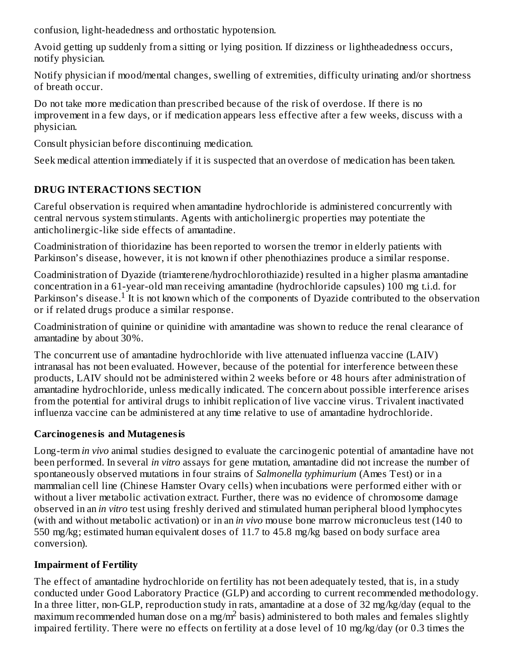confusion, light-headedness and orthostatic hypotension.

Avoid getting up suddenly from a sitting or lying position. If dizziness or lightheadedness occurs, notify physician.

Notify physician if mood/mental changes, swelling of extremities, difficulty urinating and/or shortness of breath occur.

Do not take more medication than prescribed because of the risk of overdose. If there is no improvement in a few days, or if medication appears less effective after a few weeks, discuss with a physician.

Consult physician before discontinuing medication.

Seek medical attention immediately if it is suspected that an overdose of medication has been taken.

# **DRUG INTERACTIONS SECTION**

Careful observation is required when amantadine hydrochloride is administered concurrently with central nervous system stimulants. Agents with anticholinergic properties may potentiate the anticholinergic-like side effects of amantadine.

Coadministration of thioridazine has been reported to worsen the tremor in elderly patients with Parkinson's disease, however, it is not known if other phenothiazines produce a similar response.

Coadministration of Dyazide (triamterene/hydrochlorothiazide) resulted in a higher plasma amantadine concentration in a 61-year-old man receiving amantadine (hydrochloride capsules) 100 mg t.i.d. for Parkinson's disease.<sup>1</sup> It is not known which of the components of Dyazide contributed to the observation or if related drugs produce a similar response.

Coadministration of quinine or quinidine with amantadine was shown to reduce the renal clearance of amantadine by about 30%.

The concurrent use of amantadine hydrochloride with live attenuated influenza vaccine (LAIV) intranasal has not been evaluated. However, because of the potential for interference between these products, LAIV should not be administered within 2 weeks before or 48 hours after administration of amantadine hydrochloride, unless medically indicated. The concern about possible interference arises from the potential for antiviral drugs to inhibit replication of live vaccine virus. Trivalent inactivated influenza vaccine can be administered at any time relative to use of amantadine hydrochloride.

# **Carcinogenesis and Mutagenesis**

Long-term *in vivo* animal studies designed to evaluate the carcinogenic potential of amantadine have not been performed. In several *in vitro* assays for gene mutation, amantadine did not increase the number of spontaneously observed mutations in four strains of *Salmonella typhimurium* (Ames Test) or in a mammalian cell line (Chinese Hamster Ovary cells) when incubations were performed either with or without a liver metabolic activation extract. Further, there was no evidence of chromosome damage observed in an *in vitro* test using freshly derived and stimulated human peripheral blood lymphocytes (with and without metabolic activation) or in an *in vivo* mouse bone marrow micronucleus test (140 to 550 mg/kg; estimated human equivalent doses of 11.7 to 45.8 mg/kg based on body surface area conversion).

# **Impairment of Fertility**

The effect of amantadine hydrochloride on fertility has not been adequately tested, that is, in a study conducted under Good Laboratory Practice (GLP) and according to current recommended methodology. In a three litter, non-GLP, reproduction study in rats, amantadine at a dose of 32 mg/kg/day (equal to the maximum recommended human dose on a mg/m<sup>2</sup> basis) administered to both males and females slightly impaired fertility. There were no effects on fertility at a dose level of 10 mg/kg/day (or 0.3 times the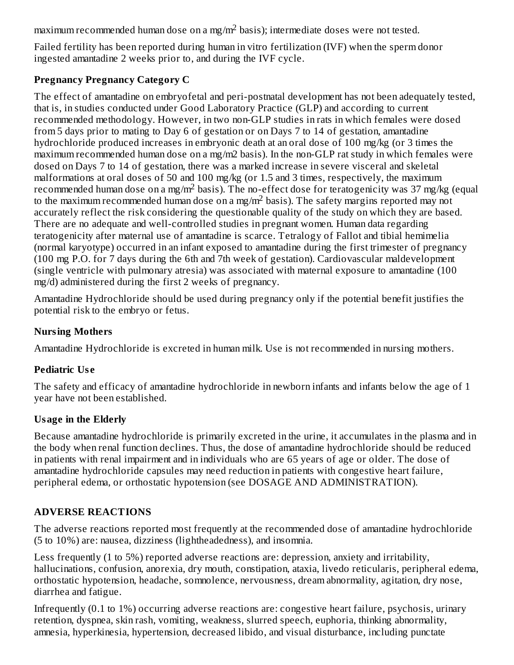maximum recommended human dose on a mg/m $^2$  basis); intermediate doses were not tested.

Failed fertility has been reported during human in vitro fertilization (IVF) when the sperm donor ingested amantadine 2 weeks prior to, and during the IVF cycle.

#### **Pregnancy Pregnancy Category C**

The effect of amantadine on embryofetal and peri-postnatal development has not been adequately tested, that is, in studies conducted under Good Laboratory Practice (GLP) and according to current recommended methodology. However, in two non-GLP studies in rats in which females were dosed from 5 days prior to mating to Day 6 of gestation or on Days 7 to 14 of gestation, amantadine hydrochloride produced increases in embryonic death at an oral dose of 100 mg/kg (or 3 times the maximum recommended human dose on a mg/m2 basis). In the non-GLP rat study in which females were dosed on Days 7 to 14 of gestation, there was a marked increase in severe visceral and skeletal malformations at oral doses of 50 and 100 mg/kg (or 1.5 and 3 times, respectively, the maximum recommended human dose on a mg/m<sup>2</sup> basis). The no-effect dose for teratogenicity was 37 mg/kg (equal to the maximum recommended human dose on a mg/m<sup>2</sup> basis). The safety margins reported may not accurately reflect the risk considering the questionable quality of the study on which they are based. There are no adequate and well-controlled studies in pregnant women. Human data regarding teratogenicity after maternal use of amantadine is scarce. Tetralogy of Fallot and tibial hemimelia (normal karyotype) occurred in an infant exposed to amantadine during the first trimester of pregnancy (100 mg P.O. for 7 days during the 6th and 7th week of gestation). Cardiovascular maldevelopment (single ventricle with pulmonary atresia) was associated with maternal exposure to amantadine (100 mg/d) administered during the first 2 weeks of pregnancy.

Amantadine Hydrochloride should be used during pregnancy only if the potential benefit justifies the potential risk to the embryo or fetus.

#### **Nursing Mothers**

Amantadine Hydrochloride is excreted in human milk. Use is not recommended in nursing mothers.

## **Pediatric Us e**

The safety and efficacy of amantadine hydrochloride in newborn infants and infants below the age of 1 year have not been established.

## **Usage in the Elderly**

Because amantadine hydrochloride is primarily excreted in the urine, it accumulates in the plasma and in the body when renal function declines. Thus, the dose of amantadine hydrochloride should be reduced in patients with renal impairment and in individuals who are 65 years of age or older. The dose of amantadine hydrochloride capsules may need reduction in patients with congestive heart failure, peripheral edema, or orthostatic hypotension (see DOSAGE AND ADMINISTRATION).

# **ADVERSE REACTIONS**

The adverse reactions reported most frequently at the recommended dose of amantadine hydrochloride (5 to 10%) are: nausea, dizziness (lightheadedness), and insomnia.

Less frequently (1 to 5%) reported adverse reactions are: depression, anxiety and irritability, hallucinations, confusion, anorexia, dry mouth, constipation, ataxia, livedo reticularis, peripheral edema, orthostatic hypotension, headache, somnolence, nervousness, dream abnormality, agitation, dry nose, diarrhea and fatigue.

Infrequently (0.1 to 1%) occurring adverse reactions are: congestive heart failure, psychosis, urinary retention, dyspnea, skin rash, vomiting, weakness, slurred speech, euphoria, thinking abnormality, amnesia, hyperkinesia, hypertension, decreased libido, and visual disturbance, including punctate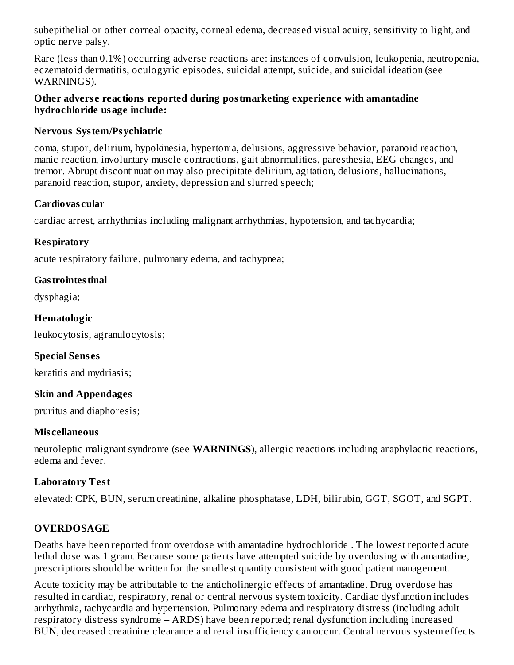subepithelial or other corneal opacity, corneal edema, decreased visual acuity, sensitivity to light, and optic nerve palsy.

Rare (less than 0.1%) occurring adverse reactions are: instances of convulsion, leukopenia, neutropenia, eczematoid dermatitis, oculogyric episodes, suicidal attempt, suicide, and suicidal ideation (see WARNINGS).

#### **Other advers e reactions reported during postmarketing experience with amantadine hydrochloride usage include:**

#### **Nervous System/Psychiatric**

coma, stupor, delirium, hypokinesia, hypertonia, delusions, aggressive behavior, paranoid reaction, manic reaction, involuntary muscle contractions, gait abnormalities, paresthesia, EEG changes, and tremor. Abrupt discontinuation may also precipitate delirium, agitation, delusions, hallucinations, paranoid reaction, stupor, anxiety, depression and slurred speech;

#### **Cardiovas cular**

cardiac arrest, arrhythmias including malignant arrhythmias, hypotension, and tachycardia;

## **Respiratory**

acute respiratory failure, pulmonary edema, and tachypnea;

#### **Gastrointestinal**

dysphagia;

#### **Hematologic**

leukocytosis, agranulocytosis;

## **Special Sens es**

keratitis and mydriasis;

## **Skin and Appendages**

pruritus and diaphoresis;

## **Mis cellaneous**

neuroleptic malignant syndrome (see **WARNINGS**), allergic reactions including anaphylactic reactions, edema and fever.

## **Laboratory Test**

elevated: CPK, BUN, serum creatinine, alkaline phosphatase, LDH, bilirubin, GGT, SGOT, and SGPT.

## **OVERDOSAGE**

Deaths have been reported from overdose with amantadine hydrochloride . The lowest reported acute lethal dose was 1 gram. Because some patients have attempted suicide by overdosing with amantadine, prescriptions should be written for the smallest quantity consistent with good patient management.

Acute toxicity may be attributable to the anticholinergic effects of amantadine. Drug overdose has resulted in cardiac, respiratory, renal or central nervous system toxicity. Cardiac dysfunction includes arrhythmia, tachycardia and hypertension. Pulmonary edema and respiratory distress (including adult respiratory distress syndrome – ARDS) have been reported; renal dysfunction including increased BUN, decreased creatinine clearance and renal insufficiency can occur. Central nervous system effects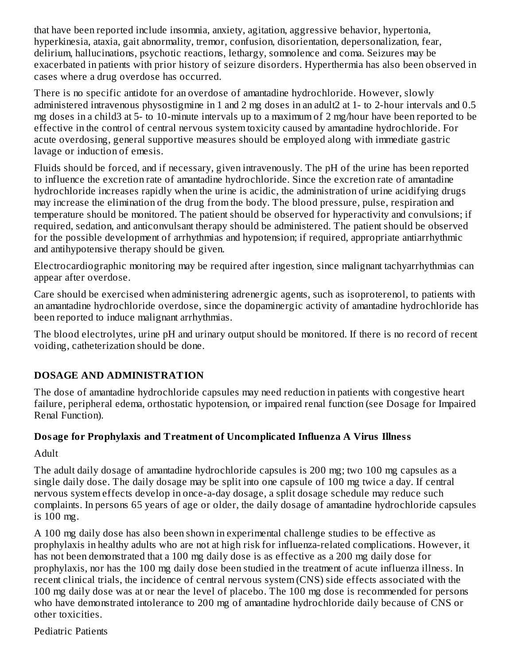that have been reported include insomnia, anxiety, agitation, aggressive behavior, hypertonia, hyperkinesia, ataxia, gait abnormality, tremor, confusion, disorientation, depersonalization, fear, delirium, hallucinations, psychotic reactions, lethargy, somnolence and coma. Seizures may be exacerbated in patients with prior history of seizure disorders. Hyperthermia has also been observed in cases where a drug overdose has occurred.

There is no specific antidote for an overdose of amantadine hydrochloride. However, slowly administered intravenous physostigmine in 1 and 2 mg doses in an adult2 at 1- to 2-hour intervals and 0.5 mg doses in a child3 at 5- to 10-minute intervals up to a maximum of 2 mg/hour have been reported to be effective in the control of central nervous system toxicity caused by amantadine hydrochloride. For acute overdosing, general supportive measures should be employed along with immediate gastric lavage or induction of emesis.

Fluids should be forced, and if necessary, given intravenously. The pH of the urine has been reported to influence the excretion rate of amantadine hydrochloride. Since the excretion rate of amantadine hydrochloride increases rapidly when the urine is acidic, the administration of urine acidifying drugs may increase the elimination of the drug from the body. The blood pressure, pulse, respiration and temperature should be monitored. The patient should be observed for hyperactivity and convulsions; if required, sedation, and anticonvulsant therapy should be administered. The patient should be observed for the possible development of arrhythmias and hypotension; if required, appropriate antiarrhythmic and antihypotensive therapy should be given.

Electrocardiographic monitoring may be required after ingestion, since malignant tachyarrhythmias can appear after overdose.

Care should be exercised when administering adrenergic agents, such as isoproterenol, to patients with an amantadine hydrochloride overdose, since the dopaminergic activity of amantadine hydrochloride has been reported to induce malignant arrhythmias.

The blood electrolytes, urine pH and urinary output should be monitored. If there is no record of recent voiding, catheterization should be done.

## **DOSAGE AND ADMINISTRATION**

The dose of amantadine hydrochloride capsules may need reduction in patients with congestive heart failure, peripheral edema, orthostatic hypotension, or impaired renal function (see Dosage for Impaired Renal Function).

## **Dosage for Prophylaxis and Treatment of Uncomplicated Influenza A Virus Illness**

Adult

The adult daily dosage of amantadine hydrochloride capsules is 200 mg; two 100 mg capsules as a single daily dose. The daily dosage may be split into one capsule of 100 mg twice a day. If central nervous system effects develop in once-a-day dosage, a split dosage schedule may reduce such complaints. In persons 65 years of age or older, the daily dosage of amantadine hydrochloride capsules is 100 mg.

A 100 mg daily dose has also been shown in experimental challenge studies to be effective as prophylaxis in healthy adults who are not at high risk for influenza-related complications. However, it has not been demonstrated that a 100 mg daily dose is as effective as a 200 mg daily dose for prophylaxis, nor has the 100 mg daily dose been studied in the treatment of acute influenza illness. In recent clinical trials, the incidence of central nervous system (CNS) side effects associated with the 100 mg daily dose was at or near the level of placebo. The 100 mg dose is recommended for persons who have demonstrated intolerance to 200 mg of amantadine hydrochloride daily because of CNS or other toxicities.

Pediatric Patients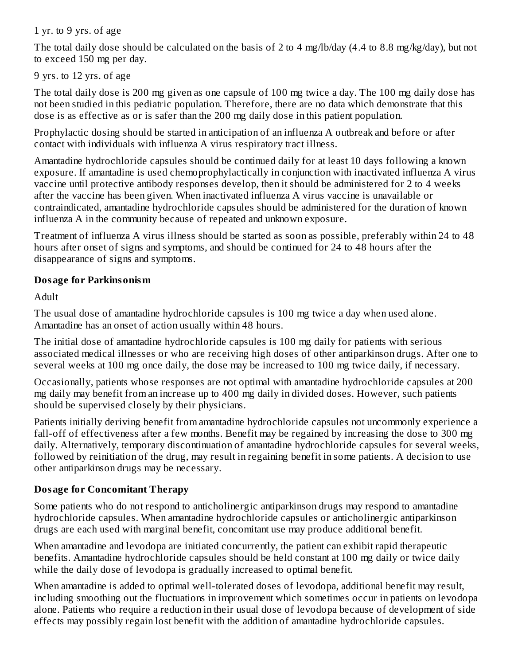1 yr. to 9 yrs. of age

The total daily dose should be calculated on the basis of 2 to 4 mg/lb/day (4.4 to 8.8 mg/kg/day), but not to exceed 150 mg per day.

9 yrs. to 12 yrs. of age

The total daily dose is 200 mg given as one capsule of 100 mg twice a day. The 100 mg daily dose has not been studied in this pediatric population. Therefore, there are no data which demonstrate that this dose is as effective as or is safer than the 200 mg daily dose in this patient population.

Prophylactic dosing should be started in anticipation of an influenza A outbreak and before or after contact with individuals with influenza A virus respiratory tract illness.

Amantadine hydrochloride capsules should be continued daily for at least 10 days following a known exposure. If amantadine is used chemoprophylactically in conjunction with inactivated influenza A virus vaccine until protective antibody responses develop, then it should be administered for 2 to 4 weeks after the vaccine has been given. When inactivated influenza A virus vaccine is unavailable or contraindicated, amantadine hydrochloride capsules should be administered for the duration of known influenza A in the community because of repeated and unknown exposure.

Treatment of influenza A virus illness should be started as soon as possible, preferably within 24 to 48 hours after onset of signs and symptoms, and should be continued for 24 to 48 hours after the disappearance of signs and symptoms.

## **Dosage for Parkinsonism**

Adult

The usual dose of amantadine hydrochloride capsules is 100 mg twice a day when used alone. Amantadine has an onset of action usually within 48 hours.

The initial dose of amantadine hydrochloride capsules is 100 mg daily for patients with serious associated medical illnesses or who are receiving high doses of other antiparkinson drugs. After one to several weeks at 100 mg once daily, the dose may be increased to 100 mg twice daily, if necessary.

Occasionally, patients whose responses are not optimal with amantadine hydrochloride capsules at 200 mg daily may benefit from an increase up to 400 mg daily in divided doses. However, such patients should be supervised closely by their physicians.

Patients initially deriving benefit from amantadine hydrochloride capsules not uncommonly experience a fall-off of effectiveness after a few months. Benefit may be regained by increasing the dose to 300 mg daily. Alternatively, temporary discontinuation of amantadine hydrochloride capsules for several weeks, followed by reinitiation of the drug, may result in regaining benefit in some patients. A decision to use other antiparkinson drugs may be necessary.

# **Dosage for Concomitant Therapy**

Some patients who do not respond to anticholinergic antiparkinson drugs may respond to amantadine hydrochloride capsules. When amantadine hydrochloride capsules or anticholinergic antiparkinson drugs are each used with marginal benefit, concomitant use may produce additional benefit.

When amantadine and levodopa are initiated concurrently, the patient can exhibit rapid therapeutic benefits. Amantadine hydrochloride capsules should be held constant at 100 mg daily or twice daily while the daily dose of levodopa is gradually increased to optimal benefit.

When amantadine is added to optimal well-tolerated doses of levodopa, additional benefit may result, including smoothing out the fluctuations in improvement which sometimes occur in patients on levodopa alone. Patients who require a reduction in their usual dose of levodopa because of development of side effects may possibly regain lost benefit with the addition of amantadine hydrochloride capsules.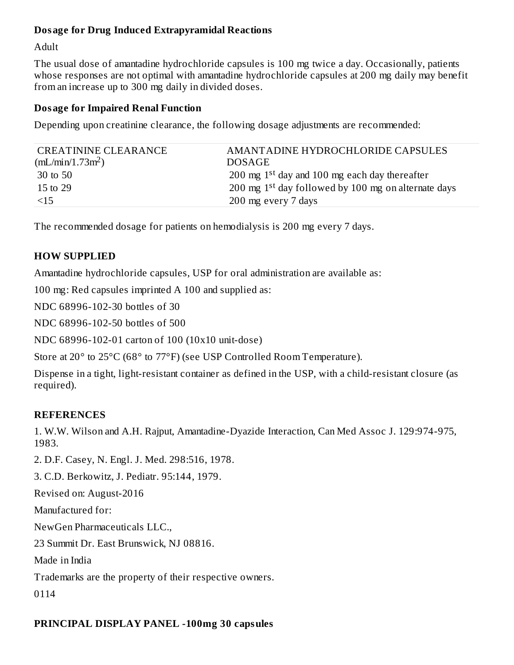#### **Dosage for Drug Induced Extrapyramidal Reactions**

Adult

The usual dose of amantadine hydrochloride capsules is 100 mg twice a day. Occasionally, patients whose responses are not optimal with amantadine hydrochloride capsules at 200 mg daily may benefit from an increase up to 300 mg daily in divided doses.

#### **Dosage for Impaired Renal Function**

Depending upon creatinine clearance, the following dosage adjustments are recommended:

| CREATININE CLEARANCE | AMANTADINE HYDROCHLORIDE CAPSULES                               |
|----------------------|-----------------------------------------------------------------|
| $(mL/min/1.73m^2)$   | <b>DOSAGE</b>                                                   |
| 30 to 50             | 200 mg $1st$ day and 100 mg each day thereafter                 |
| 15 to 29             | 200 mg 1 <sup>st</sup> day followed by 100 mg on alternate days |
| $\leq$ 15            | 200 mg every 7 days                                             |
|                      |                                                                 |

The recommended dosage for patients on hemodialysis is 200 mg every 7 days.

## **HOW SUPPLIED**

Amantadine hydrochloride capsules, USP for oral administration are available as:

100 mg: Red capsules imprinted A 100 and supplied as:

NDC 68996-102-30 bottles of 30

NDC 68996-102-50 bottles of 500

NDC 68996-102-01 carton of 100 (10x10 unit-dose)

Store at 20° to 25°C (68° to 77°F) (see USP Controlled Room Temperature).

Dispense in a tight, light-resistant container as defined in the USP, with a child-resistant closure (as required).

## **REFERENCES**

1. W.W. Wilson and A.H. Rajput, Amantadine-Dyazide Interaction, Can Med Assoc J. 129:974-975, 1983.

2. D.F. Casey, N. Engl. J. Med. 298:516, 1978.

3. C.D. Berkowitz, J. Pediatr. 95:144, 1979.

Revised on: August-2016

Manufactured for:

NewGen Pharmaceuticals LLC.,

23 Summit Dr. East Brunswick, NJ 08816.

Made in India

Trademarks are the property of their respective owners.

0114

## **PRINCIPAL DISPLAY PANEL -100mg 30 capsules**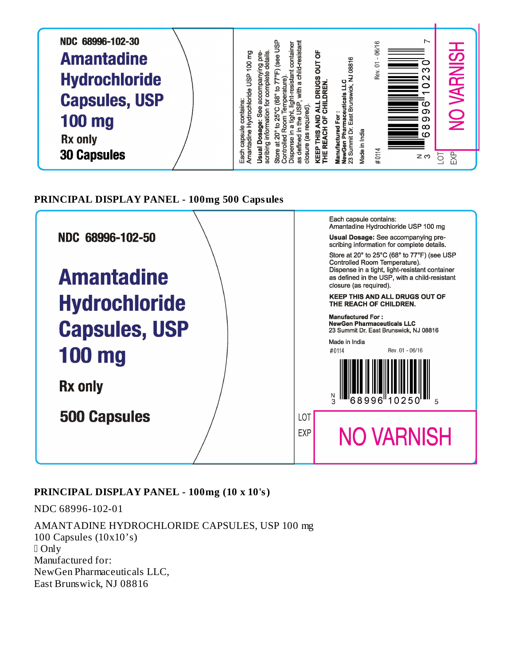

**PRINCIPAL DISPLAY PANEL - 100mg 500 Capsules**



## **PRINCIPAL DISPLAY PANEL - 100mg (10 x 10's)**

NDC 68996-102-01

AMANTADINE HYDROCHLORIDE CAPSULES, USP 100 mg 100 Capsules (10x10's) Only Manufactured for: NewGen Pharmaceuticals LLC, East Brunswick, NJ 08816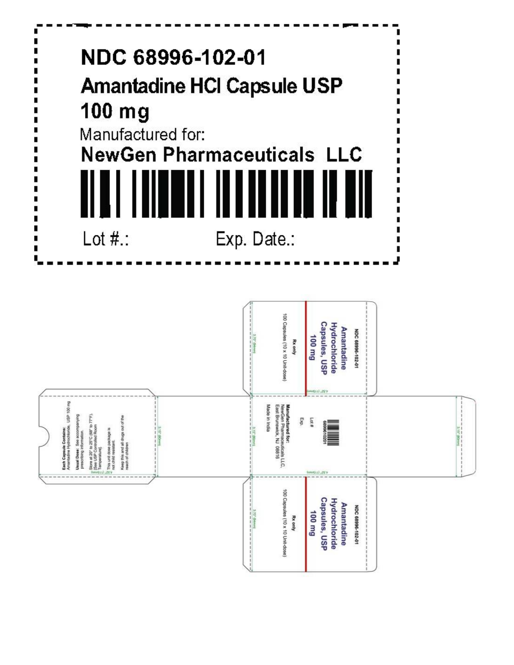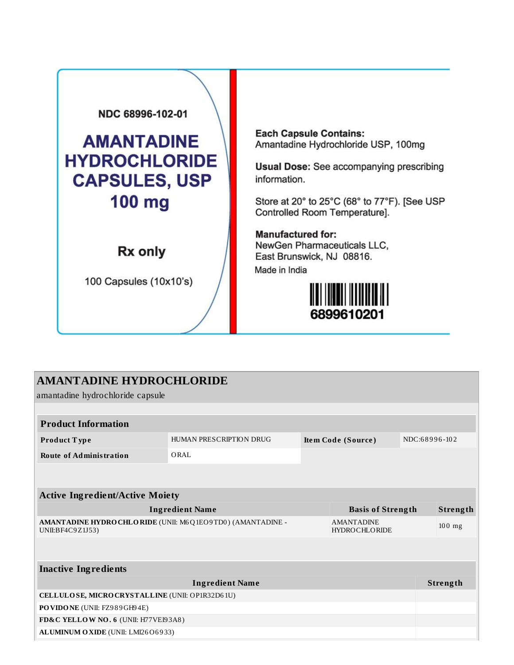

**Each Capsule Contains:** Amantadine Hydrochloride USP, 100mg

**Usual Dose:** See accompanying prescribing information.

Store at 20° to 25°C (68° to 77°F). [See USP Controlled Room Temperature].

**Manufactured for:** NewGen Pharmaceuticals LLC, East Brunswick, NJ 08816.

Made in India



| <b>AMANTADINE HYDROCHLORIDE</b><br>amantadine hydrochloride capsule            |                         |  |                                           |               |                 |
|--------------------------------------------------------------------------------|-------------------------|--|-------------------------------------------|---------------|-----------------|
|                                                                                |                         |  |                                           |               |                 |
| <b>Product Information</b>                                                     |                         |  |                                           |               |                 |
| Product Type                                                                   | HUMAN PRESCRIPTION DRUG |  | Item Code (Source)                        | NDC:68996-102 |                 |
| <b>Route of Administration</b>                                                 | ORAL                    |  |                                           |               |                 |
|                                                                                |                         |  |                                           |               |                 |
| <b>Active Ingredient/Active Moiety</b>                                         |                         |  |                                           |               |                 |
| <b>Ingredient Name</b><br><b>Basis of Strength</b>                             |                         |  |                                           |               | Strength        |
| AMANTADINE HYDRO CHLORIDE (UNII: M6Q1EO9TD0) (AMANTADINE -<br>UNII:BF4C9Z1J53) |                         |  | <b>AMANTADINE</b><br><b>HYDROCHLORIDE</b> |               | $100$ mg        |
|                                                                                |                         |  |                                           |               |                 |
| <b>Inactive Ingredients</b>                                                    |                         |  |                                           |               |                 |
|                                                                                | <b>Ingredient Name</b>  |  |                                           |               | <b>Strength</b> |
| CELLULOSE, MICRO CRYSTALLINE (UNII: OP1R32D61U)                                |                         |  |                                           |               |                 |
| PO VIDO NE (UNII: FZ989GH94E)                                                  |                         |  |                                           |               |                 |
| FD&C YELLOW NO. 6 (UNII: H77VEI93A8)                                           |                         |  |                                           |               |                 |
| ALUMINUM OXIDE (UNII: LMI26O6933)                                              |                         |  |                                           |               |                 |